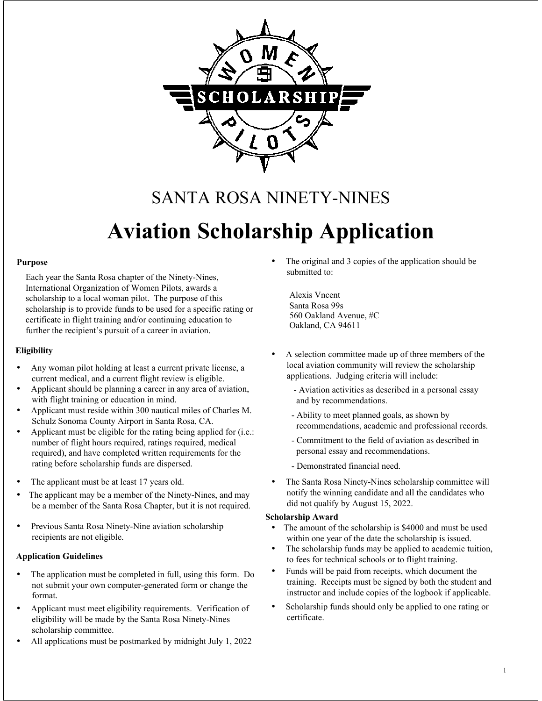

## SANTA ROSA NINETY-NINES **Aviation Scholarship Application**

#### **Purpose**

Each year the Santa Rosa chapter of the Ninety-Nines, International Organization of Women Pilots, awards a scholarship to a local woman pilot. The purpose of this scholarship is to provide funds to be used for a specific rating or certificate in flight training and/or continuing education to further the recipient's pursuit of a career in aviation.

#### **Eligibility**

- Any woman pilot holding at least a current private license, a current medical, and a current flight review is eligible.
- Applicant should be planning a career in any area of aviation, with flight training or education in mind.
- Applicant must reside within 300 nautical miles of Charles M. Schulz Sonoma County Airport in Santa Rosa, CA.
- Applicant must be eligible for the rating being applied for (i.e.: number of flight hours required, ratings required, medical required), and have completed written requirements for the rating before scholarship funds are dispersed.
- The applicant must be at least 17 years old.
- The applicant may be a member of the Ninety-Nines, and may be a member of the Santa Rosa Chapter, but it is not required.
- Previous Santa Rosa Ninety-Nine aviation scholarship recipients are not eligible.

#### **Application Guidelines**

- The application must be completed in full, using this form. Do not submit your own computer-generated form or change the format.
- Applicant must meet eligibility requirements. Verification of eligibility will be made by the Santa Rosa Ninety-Nines scholarship committee.
- All applications must be postmarked by midnight July 1, 2022

The original and 3 copies of the application should be submitted to:

Alexis Vncent Santa Rosa 99s 560 Oakland Avenue, #C Oakland, CA 94611

- A selection committee made up of three members of the local aviation community will review the scholarship applications. Judging criteria will include:
	- Aviation activities as described in a personal essay and by recommendations.
	- Ability to meet planned goals, as shown by recommendations, academic and professional records.
	- Commitment to the field of aviation as described in personal essay and recommendations.
	- Demonstrated financial need.
- The Santa Rosa Ninety-Nines scholarship committee will notify the winning candidate and all the candidates who did not qualify by August 15, 2022.

#### **Scholarship Award**

- The amount of the scholarship is \$4000 and must be used within one year of the date the scholarship is issued.
- The scholarship funds may be applied to academic tuition, to fees for technical schools or to flight training.
- Funds will be paid from receipts, which document the training. Receipts must be signed by both the student and instructor and include copies of the logbook if applicable.
- Scholarship funds should only be applied to one rating or certificate.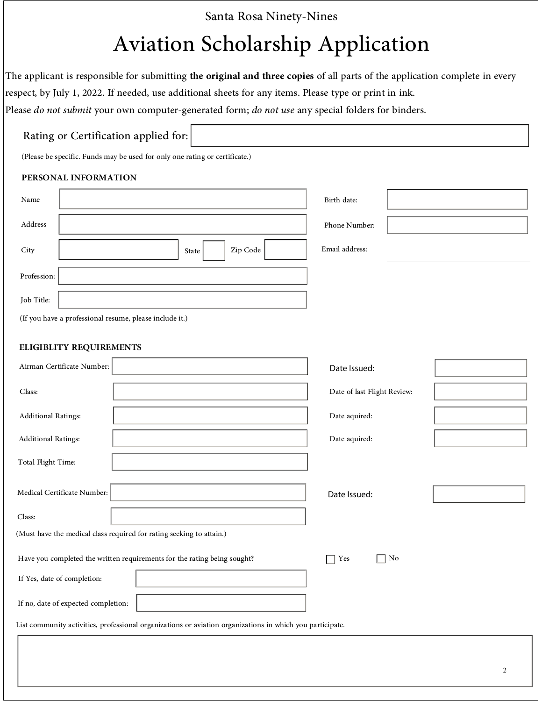# Santa Rosa Ninety-Nines<br>Aviation Scholarship Application

The applicant is responsible for submitting **the original and three copies** of all parts of the application complete in every respect, by July 1, 2022. If needed, use additional sheets for any items. Please type or print i

#### Rating or Certification applied for:

(Please be specific. Funds may be used for only one rating or certificate.)

#### **PERSONAL INFORMATION**

| Name                                                    | Birth date:    |
|---------------------------------------------------------|----------------|
| Address                                                 | Phone Number:  |
| Zip Code<br>City<br>State                               | Email address: |
| Profession:                                             |                |
| Job Title:                                              |                |
| (If you have a professional resume, please include it.) |                |

#### **ELIGIBLITY REQUIREMENTS**

| Airman Certificate Number:                                                                                | Date Issued:                |
|-----------------------------------------------------------------------------------------------------------|-----------------------------|
| Class:                                                                                                    | Date of last Flight Review: |
| <b>Additional Ratings:</b>                                                                                | Date aquired:               |
| <b>Additional Ratings:</b>                                                                                | Date aquired:               |
| Total Flight Time:                                                                                        |                             |
| Medical Certificate Number:                                                                               | Date Issued:                |
| Class:                                                                                                    |                             |
| (Must have the medical class required for rating seeking to attain.)                                      |                             |
| Have you completed the written requirements for the rating being sought?                                  | No<br>Yes<br>$\mathbf{I}$   |
| If Yes, date of completion:                                                                               |                             |
| If no, date of expected completion:                                                                       |                             |
| List community activities, professional organizations or aviation organizations in which you participate. |                             |
|                                                                                                           |                             |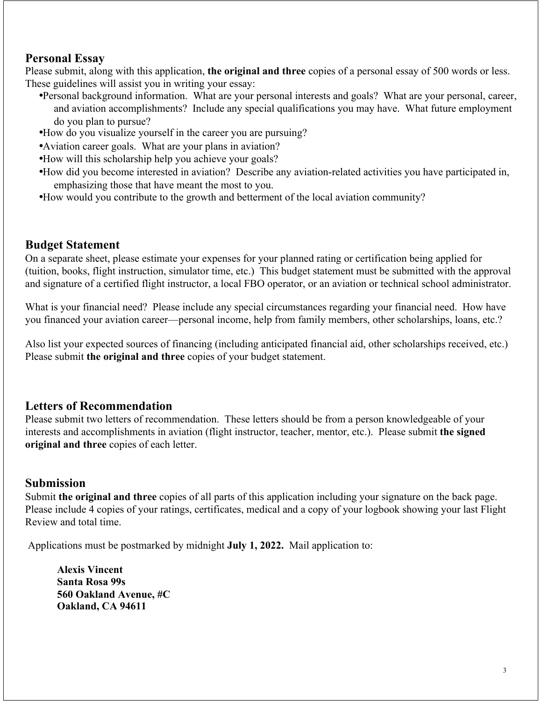#### **Personal Essay**

Please submit, along with this application, **the original and three** copies of a personal essay of 500 words or less. These guidelines will assist you in writing your essay:

- •Personal background information. What are your personal interests and goals? What are your personal, career, and aviation accomplishments? Include any special qualifications you may have. What future employment do you plan to pursue?
- •How do you visualize yourself in the career you are pursuing?
- •Aviation career goals. What are your plans in aviation?
- •How will this scholarship help you achieve your goals?
- •How did you become interested in aviation? Describe any aviation-related activities you have participated in, emphasizing those that have meant the most to you.
- •How would you contribute to the growth and betterment of the local aviation community?

#### **Budget Statement**

On a separate sheet, please estimate your expenses for your planned rating or certification being applied for (tuition, books, flight instruction, simulator time, etc.) This budget statement must be submitted with the approval and signature of a certified flight instructor, a local FBO operator, or an aviation or technical school administrator.

What is your financial need? Please include any special circumstances regarding your financial need. How have you financed your aviation career—personal income, help from family members, other scholarships, loans, etc.?

Also list your expected sources of financing (including anticipated financial aid, other scholarships received, etc.) Please submit **the original and three** copies of your budget statement.

#### **Letters of Recommendation**

Please submit two letters of recommendation. These letters should be from a person knowledgeable of your interests and accomplishments in aviation (flight instructor, teacher, mentor, etc.). Please submit **the signed original and three** copies of each letter.

#### **Submission**

Submit **the original and three** copies of all parts of this application including your signature on the back page. Please include 4 copies of your ratings, certificates, medical and a copy of your logbook showing your last Flight Review and total time.

Applications must be postmarked by midnight **July 1, 2022.** Mail application to:

**Alexis Vincent Santa Rosa 99s 560 Oakland Avenue, #C Oakland, CA 94611**